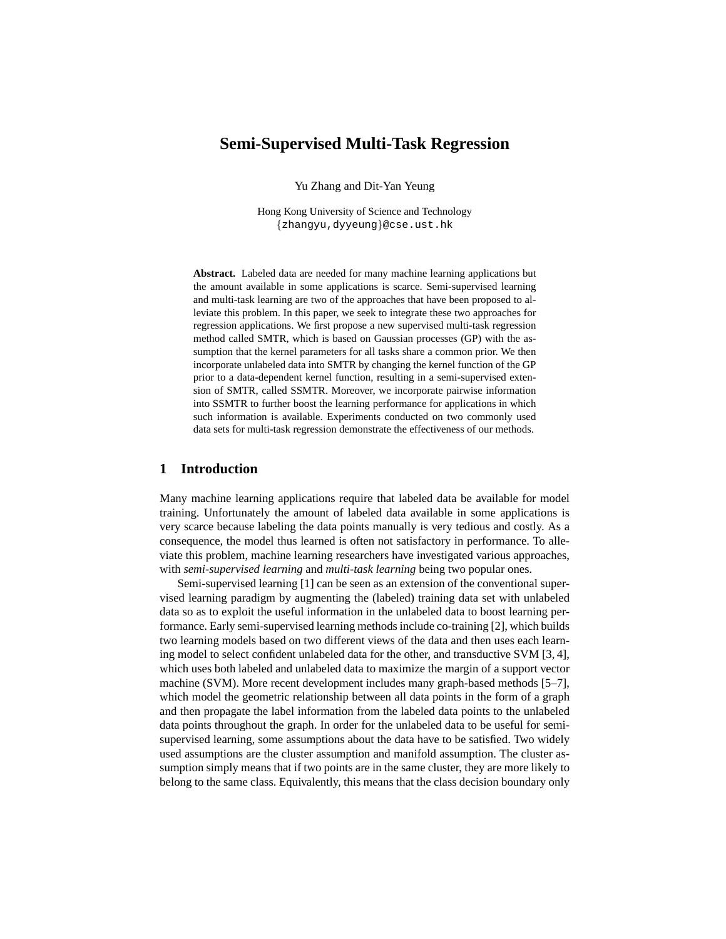# **Semi-Supervised Multi-Task Regression**

Yu Zhang and Dit-Yan Yeung

Hong Kong University of Science and Technology {zhangyu,dyyeung}@cse.ust.hk

**Abstract.** Labeled data are needed for many machine learning applications but the amount available in some applications is scarce. Semi-supervised learning and multi-task learning are two of the approaches that have been proposed to alleviate this problem. In this paper, we seek to integrate these two approaches for regression applications. We first propose a new supervised multi-task regression method called SMTR, which is based on Gaussian processes (GP) with the assumption that the kernel parameters for all tasks share a common prior. We then incorporate unlabeled data into SMTR by changing the kernel function of the GP prior to a data-dependent kernel function, resulting in a semi-supervised extension of SMTR, called SSMTR. Moreover, we incorporate pairwise information into SSMTR to further boost the learning performance for applications in which such information is available. Experiments conducted on two commonly used data sets for multi-task regression demonstrate the effectiveness of our methods.

## **1 Introduction**

Many machine learning applications require that labeled data be available for model training. Unfortunately the amount of labeled data available in some applications is very scarce because labeling the data points manually is very tedious and costly. As a consequence, the model thus learned is often not satisfactory in performance. To alleviate this problem, machine learning researchers have investigated various approaches, with *semi-supervised learning* and *multi-task learning* being two popular ones.

Semi-supervised learning [1] can be seen as an extension of the conventional supervised learning paradigm by augmenting the (labeled) training data set with unlabeled data so as to exploit the useful information in the unlabeled data to boost learning performance. Early semi-supervised learning methods include co-training [2], which builds two learning models based on two different views of the data and then uses each learning model to select confident unlabeled data for the other, and transductive SVM [3, 4], which uses both labeled and unlabeled data to maximize the margin of a support vector machine (SVM). More recent development includes many graph-based methods [5–7], which model the geometric relationship between all data points in the form of a graph and then propagate the label information from the labeled data points to the unlabeled data points throughout the graph. In order for the unlabeled data to be useful for semisupervised learning, some assumptions about the data have to be satisfied. Two widely used assumptions are the cluster assumption and manifold assumption. The cluster assumption simply means that if two points are in the same cluster, they are more likely to belong to the same class. Equivalently, this means that the class decision boundary only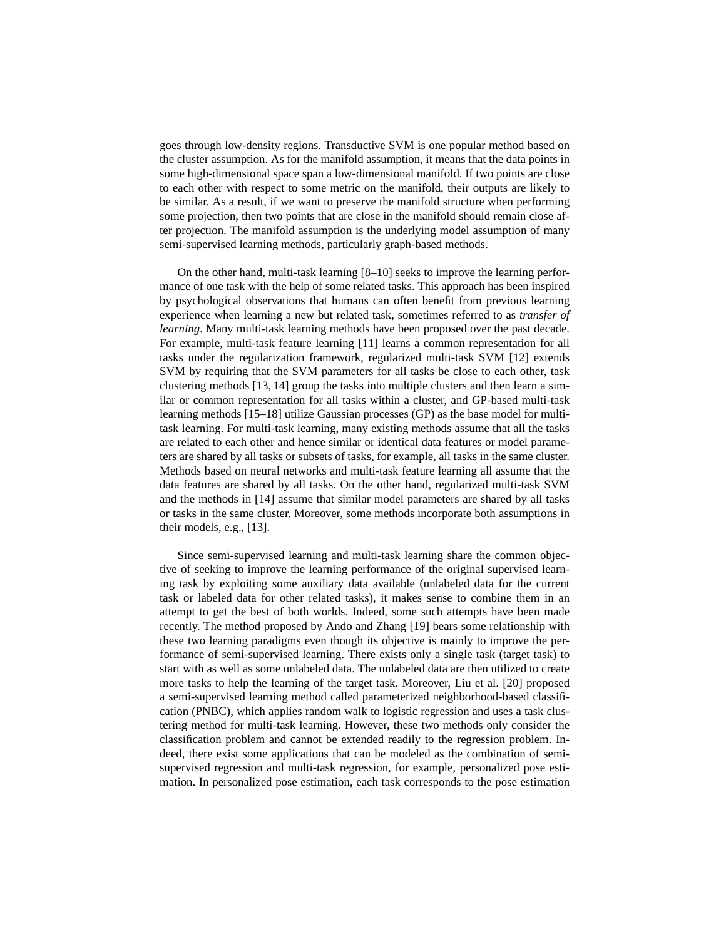goes through low-density regions. Transductive SVM is one popular method based on the cluster assumption. As for the manifold assumption, it means that the data points in some high-dimensional space span a low-dimensional manifold. If two points are close to each other with respect to some metric on the manifold, their outputs are likely to be similar. As a result, if we want to preserve the manifold structure when performing some projection, then two points that are close in the manifold should remain close after projection. The manifold assumption is the underlying model assumption of many semi-supervised learning methods, particularly graph-based methods.

On the other hand, multi-task learning [8–10] seeks to improve the learning performance of one task with the help of some related tasks. This approach has been inspired by psychological observations that humans can often benefit from previous learning experience when learning a new but related task, sometimes referred to as *transfer of learning*. Many multi-task learning methods have been proposed over the past decade. For example, multi-task feature learning [11] learns a common representation for all tasks under the regularization framework, regularized multi-task SVM [12] extends SVM by requiring that the SVM parameters for all tasks be close to each other, task clustering methods [13, 14] group the tasks into multiple clusters and then learn a similar or common representation for all tasks within a cluster, and GP-based multi-task learning methods [15–18] utilize Gaussian processes (GP) as the base model for multitask learning. For multi-task learning, many existing methods assume that all the tasks are related to each other and hence similar or identical data features or model parameters are shared by all tasks or subsets of tasks, for example, all tasks in the same cluster. Methods based on neural networks and multi-task feature learning all assume that the data features are shared by all tasks. On the other hand, regularized multi-task SVM and the methods in [14] assume that similar model parameters are shared by all tasks or tasks in the same cluster. Moreover, some methods incorporate both assumptions in their models, e.g., [13].

Since semi-supervised learning and multi-task learning share the common objective of seeking to improve the learning performance of the original supervised learning task by exploiting some auxiliary data available (unlabeled data for the current task or labeled data for other related tasks), it makes sense to combine them in an attempt to get the best of both worlds. Indeed, some such attempts have been made recently. The method proposed by Ando and Zhang [19] bears some relationship with these two learning paradigms even though its objective is mainly to improve the performance of semi-supervised learning. There exists only a single task (target task) to start with as well as some unlabeled data. The unlabeled data are then utilized to create more tasks to help the learning of the target task. Moreover, Liu et al. [20] proposed a semi-supervised learning method called parameterized neighborhood-based classification (PNBC), which applies random walk to logistic regression and uses a task clustering method for multi-task learning. However, these two methods only consider the classification problem and cannot be extended readily to the regression problem. Indeed, there exist some applications that can be modeled as the combination of semisupervised regression and multi-task regression, for example, personalized pose estimation. In personalized pose estimation, each task corresponds to the pose estimation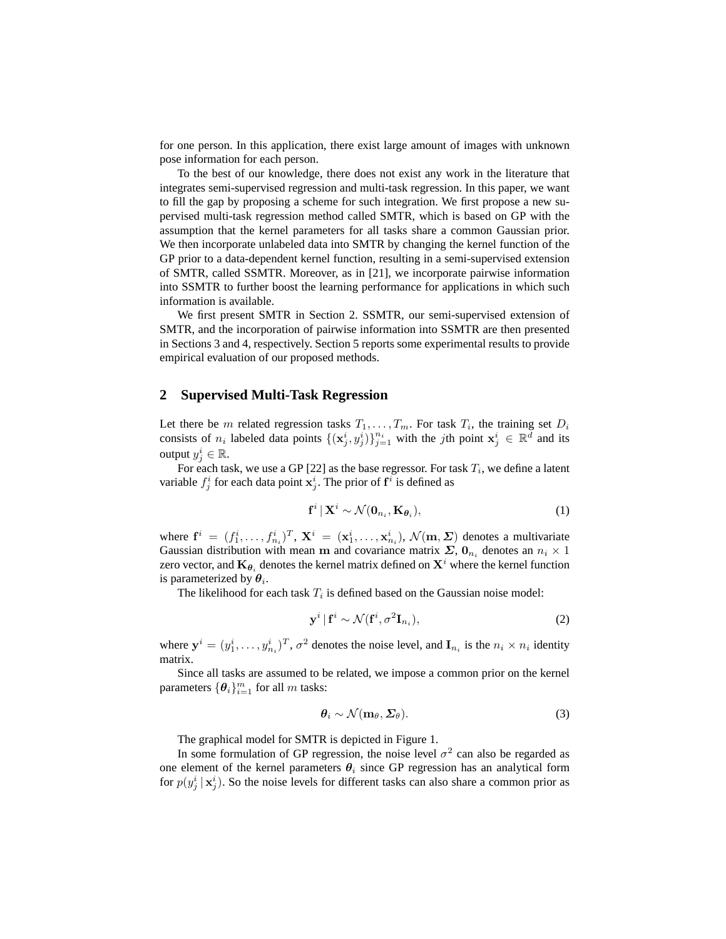for one person. In this application, there exist large amount of images with unknown pose information for each person.

To the best of our knowledge, there does not exist any work in the literature that integrates semi-supervised regression and multi-task regression. In this paper, we want to fill the gap by proposing a scheme for such integration. We first propose a new supervised multi-task regression method called SMTR, which is based on GP with the assumption that the kernel parameters for all tasks share a common Gaussian prior. We then incorporate unlabeled data into SMTR by changing the kernel function of the GP prior to a data-dependent kernel function, resulting in a semi-supervised extension of SMTR, called SSMTR. Moreover, as in [21], we incorporate pairwise information into SSMTR to further boost the learning performance for applications in which such information is available.

We first present SMTR in Section 2. SSMTR, our semi-supervised extension of SMTR, and the incorporation of pairwise information into SSMTR are then presented in Sections 3 and 4, respectively. Section 5 reports some experimental results to provide empirical evaluation of our proposed methods.

## **2 Supervised Multi-Task Regression**

Let there be m related regression tasks  $T_1, \ldots, T_m$ . For task  $T_i$ , the training set  $D_i$ consists of  $n_i$  labeled data points  $\{(\mathbf{x}_j^i, y_j^i)\}_{j=1}^{n_i}$  with the *j*th point  $\mathbf{x}_j^i \in \mathbb{R}^{\bar{d}}$  and its output  $y_j^i \in \mathbb{R}$ .

For each task, we use a GP [22] as the base regressor. For task  $T_i,$  we define a latent variable  $f_j^i$  for each data point  $x_j^i$ . The prior of  $f^i$  is defined as

$$
\mathbf{f}^i \,|\, \mathbf{X}^i \sim \mathcal{N}(\mathbf{0}_{n_i}, \mathbf{K}_{\boldsymbol{\theta}_i}),\tag{1}
$$

where  $f^i = (f_1^i, \ldots, f_{n_i}^i)^T$ ,  $X^i = (x_1^i, \ldots, x_{n_i}^i)$ ,  $\mathcal{N}(\mathbf{m}, \Sigma)$  denotes a multivariate Gaussian distribution with mean m and covariance matrix  $\Sigma$ ,  $\mathbf{0}_{n_i}$  denotes an  $n_i \times 1$ zero vector, and  $\mathbf{K}_{\boldsymbol\theta_i}$  denotes the kernel matrix defined on  $\mathbf{X}^i$  where the kernel function is parameterized by  $\theta_i$ .

The likelihood for each task  $T_i$  is defined based on the Gaussian noise model:

$$
\mathbf{y}^i \,|\, \mathbf{f}^i \sim \mathcal{N}(\mathbf{f}^i, \sigma^2 \mathbf{I}_{n_i}),\tag{2}
$$

where  $y^i = (y_1^i, \dots, y_{n_i}^i)^T$ ,  $\sigma^2$  denotes the noise level, and  $I_{n_i}$  is the  $n_i \times n_i$  identity matrix.

Since all tasks are assumed to be related, we impose a common prior on the kernel parameters  $\{\boldsymbol{\theta}_i\}_{i=1}^m$  for all  $m$  tasks:

$$
\boldsymbol{\theta}_i \sim \mathcal{N}(\mathbf{m}_{\theta}, \boldsymbol{\Sigma}_{\theta}). \tag{3}
$$

The graphical model for SMTR is depicted in Figure 1.

In some formulation of GP regression, the noise level  $\sigma^2$  can also be regarded as one element of the kernel parameters  $\theta_i$  since GP regression has an analytical form for  $p(y_j^i | \mathbf{x}_j^i)$ . So the noise levels for different tasks can also share a common prior as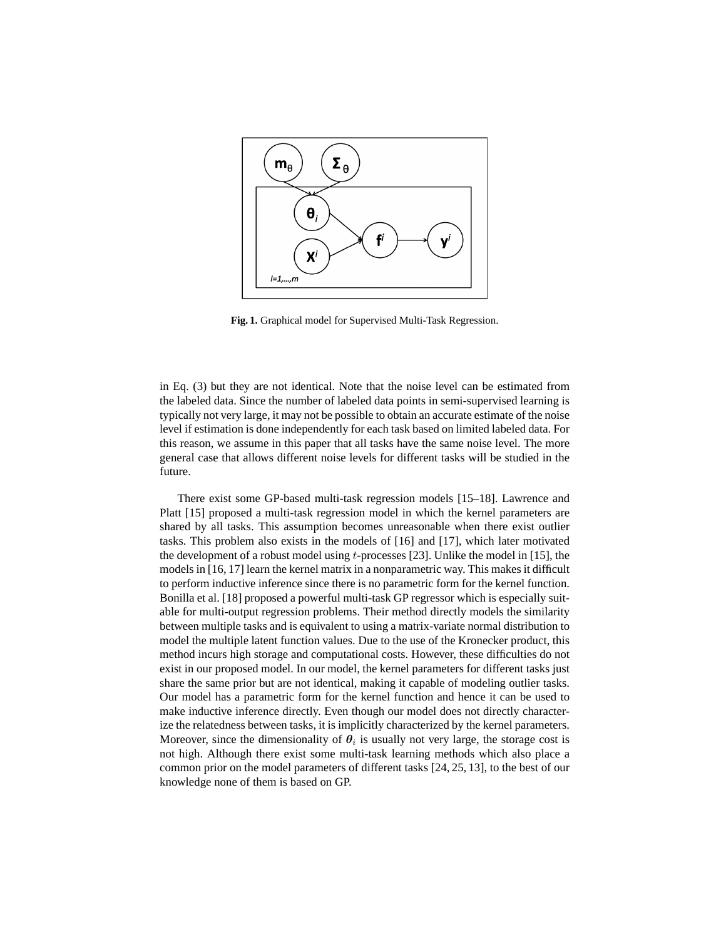

**Fig. 1.** Graphical model for Supervised Multi-Task Regression.

in Eq. (3) but they are not identical. Note that the noise level can be estimated from the labeled data. Since the number of labeled data points in semi-supervised learning is typically not very large, it may not be possible to obtain an accurate estimate of the noise level if estimation is done independently for each task based on limited labeled data. For this reason, we assume in this paper that all tasks have the same noise level. The more general case that allows different noise levels for different tasks will be studied in the future.

There exist some GP-based multi-task regression models [15–18]. Lawrence and Platt [15] proposed a multi-task regression model in which the kernel parameters are shared by all tasks. This assumption becomes unreasonable when there exist outlier tasks. This problem also exists in the models of [16] and [17], which later motivated the development of a robust model using  $t$ -processes [23]. Unlike the model in [15], the models in [16, 17] learn the kernel matrix in a nonparametric way. This makes it difficult to perform inductive inference since there is no parametric form for the kernel function. Bonilla et al. [18] proposed a powerful multi-task GP regressor which is especially suitable for multi-output regression problems. Their method directly models the similarity between multiple tasks and is equivalent to using a matrix-variate normal distribution to model the multiple latent function values. Due to the use of the Kronecker product, this method incurs high storage and computational costs. However, these difficulties do not exist in our proposed model. In our model, the kernel parameters for different tasks just share the same prior but are not identical, making it capable of modeling outlier tasks. Our model has a parametric form for the kernel function and hence it can be used to make inductive inference directly. Even though our model does not directly characterize the relatedness between tasks, it is implicitly characterized by the kernel parameters. Moreover, since the dimensionality of  $\theta_i$  is usually not very large, the storage cost is not high. Although there exist some multi-task learning methods which also place a common prior on the model parameters of different tasks [24, 25, 13], to the best of our knowledge none of them is based on GP.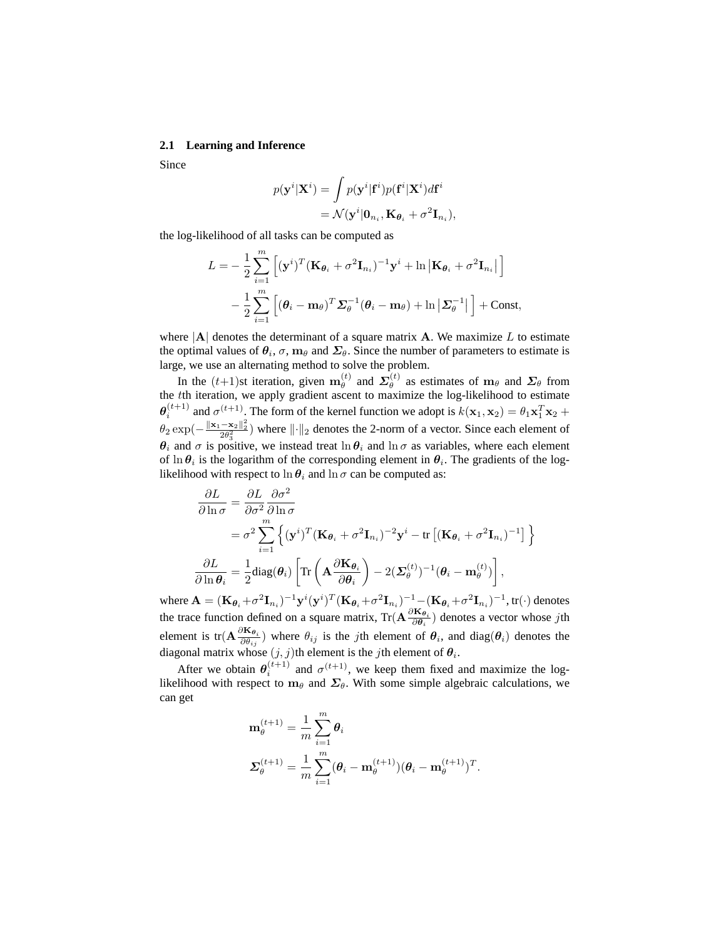### **2.1 Learning and Inference**

Since

$$
p(\mathbf{y}^i|\mathbf{X}^i) = \int p(\mathbf{y}^i|\mathbf{f}^i)p(\mathbf{f}^i|\mathbf{X}^i)d\mathbf{f}^i
$$
  
=  $\mathcal{N}(\mathbf{y}^i|\mathbf{0}_{n_i}, \mathbf{K}_{\theta_i} + \sigma^2 \mathbf{I}_{n_i}),$ 

the log-likelihood of all tasks can be computed as

$$
L = -\frac{1}{2} \sum_{i=1}^{m} \left[ (\mathbf{y}^i)^T (\mathbf{K}_{\theta_i} + \sigma^2 \mathbf{I}_{n_i})^{-1} \mathbf{y}^i + \ln |\mathbf{K}_{\theta_i} + \sigma^2 \mathbf{I}_{n_i}| \right]
$$

$$
- \frac{1}{2} \sum_{i=1}^{m} \left[ (\theta_i - \mathbf{m}_{\theta})^T \mathbf{\Sigma}_{\theta}^{-1} (\theta_i - \mathbf{m}_{\theta}) + \ln |\mathbf{\Sigma}_{\theta}^{-1}| \right] + \text{Const},
$$

where  $|{\bf A}|$  denotes the determinant of a square matrix  ${\bf A}$ . We maximize L to estimate the optimal values of  $\theta_i$ ,  $\sigma$ ,  $m_\theta$  and  $\Sigma_\theta$ . Since the number of parameters to estimate is large, we use an alternating method to solve the problem.

In the  $(t+1)$ st iteration, given  $\mathbf{m}_{\theta}^{(t)}$  $\boldsymbol{\theta}^{(t)}$  and  $\boldsymbol{\Sigma}_{\theta}^{(t)}$  $\mathcal{E}_{\theta}^{(t)}$  as estimates of  $\mathbf{m}_{\theta}$  and  $\mathbf{\Sigma}_{\theta}$  from the tth iteration, we apply gradient ascent to maximize the log-likelihood to estimate  $\theta_i^{(t+1)}$  and  $\sigma^{(t+1)}$ . The form of the kernel function we adopt is  $k(\mathbf{x}_1, \mathbf{x}_2) = \theta_1 \mathbf{x}_1^T \mathbf{x}_2 + \mathbf{x}_2$  $\theta_2 \exp(-\frac{\|\mathbf{x}_1 - \mathbf{x}_2\|_2^2}{2\theta_3^2})$  where  $\|\cdot\|_2$  denotes the 2-norm of a vector. Since each element of  $\theta_i$  and  $\sigma$  is positive, we instead treat  $\ln \theta_i$  and  $\ln \sigma$  as variables, where each element of  $\ln \theta_i$  is the logarithm of the corresponding element in  $\theta_i$ . The gradients of the loglikelihood with respect to  $\ln \theta_i$  and  $\ln \sigma$  can be computed as:

$$
\frac{\partial L}{\partial \ln \sigma} = \frac{\partial L}{\partial \sigma^2} \frac{\partial \sigma^2}{\partial \ln \sigma}
$$
  
=  $\sigma^2 \sum_{i=1}^m \left\{ (\mathbf{y}^i)^T (\mathbf{K}_{\theta_i} + \sigma^2 \mathbf{I}_{n_i})^{-2} \mathbf{y}^i - \text{tr} [(\mathbf{K}_{\theta_i} + \sigma^2 \mathbf{I}_{n_i})^{-1}] \right\}$   
 $\frac{\partial L}{\partial \ln \theta_i} = \frac{1}{2} \text{diag}(\theta_i) \left[ \text{Tr} \left( \mathbf{A} \frac{\partial \mathbf{K}_{\theta_i}}{\partial \theta_i} \right) - 2 (\mathbf{\Sigma}_{\theta}^{(t)})^{-1} (\theta_i - \mathbf{m}_{\theta}^{(t)}) \right],$ 

where  $\mathbf{A}=(\mathbf{K}_{\boldsymbol{\theta}_i}+\sigma^2\mathbf{I}_{n_i})^{-1}\mathbf{y}^i(\mathbf{y}^i)^T(\mathbf{K}_{\boldsymbol{\theta}_i}+\sigma^2\mathbf{I}_{n_i})^{-1}-(\mathbf{K}_{\boldsymbol{\theta}_i}+\sigma^2\mathbf{I}_{n_i})^{-1},$  tr $(\cdot)$  denotes the trace function defined on a square matrix,  $Tr(A \frac{\partial K_{\theta_i}}{\partial \theta_i})$  denotes a vector whose jth element is  $tr(A \frac{\partial K \theta_i}{\partial \theta_{ij}})$  where  $\theta_{ij}$  is the *j*th element of  $\theta_i$ , and diag( $\theta_i$ ) denotes the diagonal matrix whose  $(j, j)$ th element is the jth element of  $\theta_i$ .

After we obtain  $\theta_i^{(t+1)}$  and  $\sigma^{(t+1)}$ , we keep them fixed and maximize the loglikelihood with respect to  $m_\theta$  and  $\Sigma_\theta$ . With some simple algebraic calculations, we can get

$$
\begin{aligned} \mathbf{m}_{\theta}^{(t+1)} &= \frac{1}{m}\sum_{i=1}^m \boldsymbol{\theta}_i \\ \boldsymbol{\Sigma}_{\theta}^{(t+1)} &= \frac{1}{m}\sum_{i=1}^m (\boldsymbol{\theta}_i - \mathbf{m}_{\theta}^{(t+1)}) (\boldsymbol{\theta}_i - \mathbf{m}_{\theta}^{(t+1)})^T. \end{aligned}
$$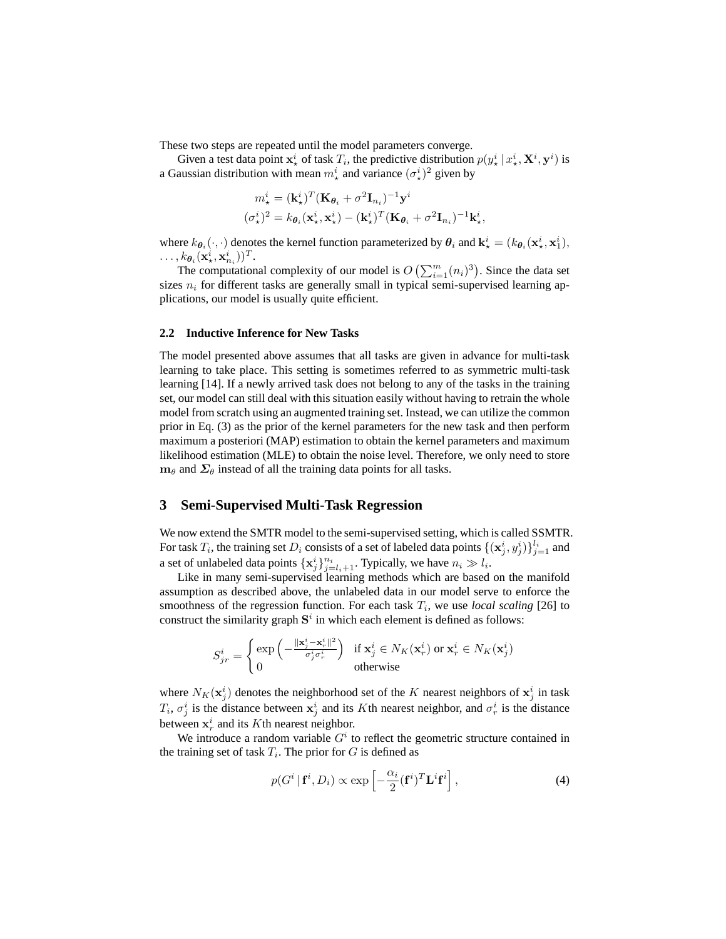These two steps are repeated until the model parameters converge.

Given a test data point  $x^i_{\star}$  of task  $T_i$ , the predictive distribution  $p(y^i_{\star} | x^i_{\star}, \mathbf{X}^i, \mathbf{y}^i)$  is a Gaussian distribution with mean  $m^i_{\star}$  and variance  $(\sigma^i_{\star})^2$  given by

$$
m_{\star}^{i} = (\mathbf{k}_{\star}^{i})^{T} (\mathbf{K}_{\theta_{i}} + \sigma^{2} \mathbf{I}_{n_{i}})^{-1} \mathbf{y}^{i}
$$

$$
(\sigma_{\star}^{i})^{2} = k_{\theta_{i}} (\mathbf{x}_{\star}^{i}, \mathbf{x}_{\star}^{i}) - (\mathbf{k}_{\star}^{i})^{T} (\mathbf{K}_{\theta_{i}} + \sigma^{2} \mathbf{I}_{n_{i}})^{-1} \mathbf{k}_{\star}^{i},
$$

where  $k_{\theta_i}(\cdot, \cdot)$  denotes the kernel function parameterized by  $\theta_i$  and  $\mathbf{k}^i_{\star} = (k_{\theta_i}(\mathbf{x}^i_{\star}, \mathbf{x}^i_{1}),$  $\ldots, k_{\boldsymbol{\theta}_i}(\mathbf{x}^i_{\star}, \mathbf{x}^i_{n_i}))^T.$ 

The computational complexity of our model is  $O\left(\sum_{i=1}^m (n_i)^3\right)$ . Since the data set sizes  $n_i$  for different tasks are generally small in typical semi-supervised learning applications, our model is usually quite efficient.

### **2.2 Inductive Inference for New Tasks**

The model presented above assumes that all tasks are given in advance for multi-task learning to take place. This setting is sometimes referred to as symmetric multi-task learning [14]. If a newly arrived task does not belong to any of the tasks in the training set, our model can still deal with this situation easily without having to retrain the whole model from scratch using an augmented training set. Instead, we can utilize the common prior in Eq. (3) as the prior of the kernel parameters for the new task and then perform maximum a posteriori (MAP) estimation to obtain the kernel parameters and maximum likelihood estimation (MLE) to obtain the noise level. Therefore, we only need to store  $m_\theta$  and  $\Sigma_\theta$  instead of all the training data points for all tasks.

## **3 Semi-Supervised Multi-Task Regression**

We now extend the SMTR model to the semi-supervised setting, which is called SSMTR. For task  $T_i$ , the training set  $D_i$  consists of a set of labeled data points  $\{(\mathbf{x}_j^i, y_j^i)\}_{j=1}^{l_i}$  and a set of unlabeled data points  $\{x_j^i\}_{j=i_i+1}^{n_i}$ . Typically, we have  $n_i \gg l_i$ .

Like in many semi-supervised learning methods which are based on the manifold assumption as described above, the unlabeled data in our model serve to enforce the smoothness of the regression function. For each task  $T_i$ , we use *local scaling* [26] to construct the similarity graph  $S^i$  in which each element is defined as follows:

$$
S_{jr}^i = \begin{cases} \exp\left(-\frac{\|\mathbf{x}_j^i - \mathbf{x}_r^i\|^2}{\sigma_j^i \sigma_r^i}\right) & \text{if } \mathbf{x}_j^i \in N_K(\mathbf{x}_r^i) \text{ or } \mathbf{x}_r^i \in N_K(\mathbf{x}_j^i) \\ 0 & \text{otherwise} \end{cases}
$$

where  $N_K(\mathbf{x}_j^i)$  denotes the neighborhood set of the K nearest neighbors of  $\mathbf{x}_j^i$  in task  $T_i$ ,  $\sigma_j^i$  is the distance between  $\mathbf{x}_j^i$  and its Kth nearest neighbor, and  $\sigma_r^i$  is the distance between  $\mathbf{x}_r^i$  and its Kth nearest neighbor.

We introduce a random variable  $G<sup>i</sup>$  to reflect the geometric structure contained in the training set of task  $T_i$ . The prior for G is defined as

$$
p(G^i | \mathbf{f}^i, D_i) \propto \exp\left[-\frac{\alpha_i}{2} (\mathbf{f}^i)^T \mathbf{L}^i \mathbf{f}^i\right],\tag{4}
$$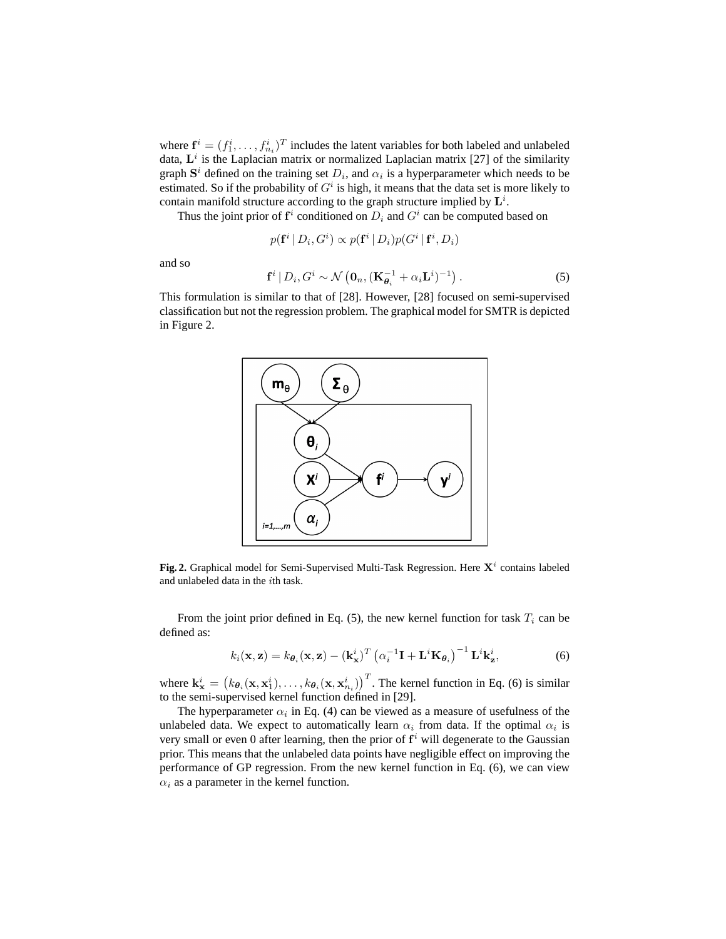where  $f^i = (f_1^i, \ldots, f_{n_i}^i)^T$  includes the latent variables for both labeled and unlabeled data,  $\mathbf{L}^i$  is the Laplacian matrix or normalized Laplacian matrix [27] of the similarity graph  $S^i$  defined on the training set  $D_i$ , and  $\alpha_i$  is a hyperparameter which needs to be estimated. So if the probability of  $G^i$  is high, it means that the data set is more likely to contain manifold structure according to the graph structure implied by  $\mathbf{L}^i$ .

Thus the joint prior of  $f^i$  conditioned on  $D_i$  and  $G^i$  can be computed based on

$$
p(\mathbf{f}^i | D_i, G^i) \propto p(\mathbf{f}^i | D_i) p(G^i | \mathbf{f}^i, D_i)
$$

and so

$$
\mathbf{f}^i | D_i, G^i \sim \mathcal{N} \left( \mathbf{0}_n, (\mathbf{K}_{\theta_i}^{-1} + \alpha_i \mathbf{L}^i)^{-1} \right). \tag{5}
$$

This formulation is similar to that of [28]. However, [28] focused on semi-supervised classification but not the regression problem. The graphical model for SMTR is depicted in Figure 2.



Fig. 2. Graphical model for Semi-Supervised Multi-Task Regression. Here  $X^i$  contains labeled and unlabeled data in the ith task.

From the joint prior defined in Eq. (5), the new kernel function for task  $T_i$  can be defined as:

$$
k_i(\mathbf{x}, \mathbf{z}) = k_{\boldsymbol{\theta}_i}(\mathbf{x}, \mathbf{z}) - (\mathbf{k}_{\mathbf{x}}^i)^T \left( \alpha_i^{-1} \mathbf{I} + \mathbf{L}^i \mathbf{K}_{\boldsymbol{\theta}_i} \right)^{-1} \mathbf{L}^i \mathbf{k}_{\mathbf{z}}^i,
$$
(6)

where  $\mathbf{k}_{\mathbf{x}}^i = (k_{\theta_i}(\mathbf{x}, \mathbf{x}_1^i), \dots, k_{\theta_i}(\mathbf{x}, \mathbf{x}_{n_i}^i))^T$ . The kernel function in Eq. (6) is similar to the semi-supervised kernel function defined in [29].

The hyperparameter  $\alpha_i$  in Eq. (4) can be viewed as a measure of usefulness of the unlabeled data. We expect to automatically learn  $\alpha_i$  from data. If the optimal  $\alpha_i$  is very small or even 0 after learning, then the prior of  $f^i$  will degenerate to the Gaussian prior. This means that the unlabeled data points have negligible effect on improving the performance of GP regression. From the new kernel function in Eq. (6), we can view  $\alpha_i$  as a parameter in the kernel function.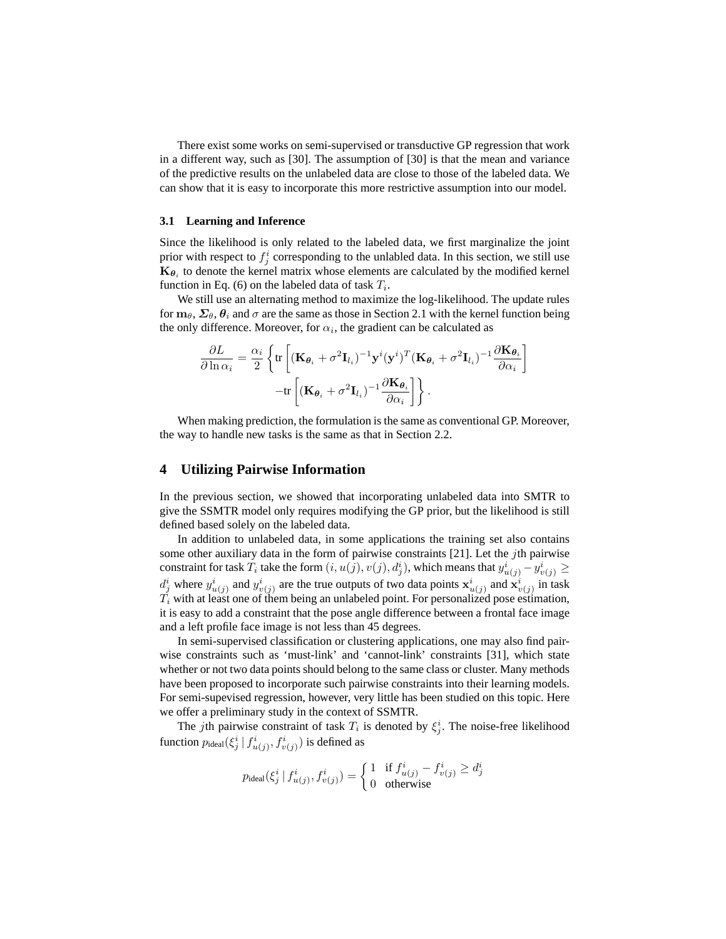There exist some works on semi-supervised or transductive GP regression that work in a different way, such as [30]. The assumption of [30] is that the mean and variance of the predictive results on the unlabeled data are close to those of the labeled data. We can show that it is easy to incorporate this more restrictive assumption into our model.

### **3.1 Learning and Inference**

Since the likelihood is only related to the labeled data, we first marginalize the joint prior with respect to  $f_j^i$  corresponding to the unlabled data. In this section, we still use  $\mathbf{K}_{\boldsymbol{\theta}_i}$  to denote the kernel matrix whose elements are calculated by the modified kernel function in Eq. (6) on the labeled data of task  $T_i$ .

We still use an alternating method to maximize the log-likelihood. The update rules for  $m_\theta$ ,  $\Sigma_\theta$ ,  $\theta_i$  and  $\sigma$  are the same as those in Section 2.1 with the kernel function being the only difference. Moreover, for  $\alpha_i$ , the gradient can be calculated as

$$
\frac{\partial L}{\partial \ln \alpha_i} = \frac{\alpha_i}{2} \left\{ \text{tr} \left[ (\mathbf{K}_{\theta_i} + \sigma^2 \mathbf{I}_{l_i})^{-1} \mathbf{y}^i (\mathbf{y}^i)^T (\mathbf{K}_{\theta_i} + \sigma^2 \mathbf{I}_{l_i})^{-1} \frac{\partial \mathbf{K}_{\theta_i}}{\partial \alpha_i} \right] - \text{tr} \left[ (\mathbf{K}_{\theta_i} + \sigma^2 \mathbf{I}_{l_i})^{-1} \frac{\partial \mathbf{K}_{\theta_i}}{\partial \alpha_i} \right] \right\}.
$$

When making prediction, the formulation is the same as conventional GP. Moreover, the way to handle new tasks is the same as that in Section 2.2.

## **4 Utilizing Pairwise Information**

In the previous section, we showed that incorporating unlabeled data into SMTR to give the SSMTR model only requires modifying the GP prior, but the likelihood is still defined based solely on the labeled data.

In addition to unlabeled data, in some applications the training set also contains some other auxiliary data in the form of pairwise constraints [21]. Let the  $j$ th pairwise constraint for task  $T_i$  take the form  $(i, u(j), v(j), d_j^i)$ , which means that  $y_{u(j)}^i - y_{v(j)}^i \geq 0$  $d_j^i$  where  $y_{u(j)}^i$  and  $y_{v(j)}^i$  are the true outputs of two data points  $\mathbf{x}_{u(j)}^i$  and  $\mathbf{x}_{v(j)}^i$  in task  $\tilde{T}_i$  with at least one of them being an unlabeled point. For personalized pose estimation, it is easy to add a constraint that the pose angle difference between a frontal face image and a left profile face image is not less than 45 degrees.

In semi-supervised classification or clustering applications, one may also find pairwise constraints such as 'must-link' and 'cannot-link' constraints [31], which state whether or not two data points should belong to the same class or cluster. Many methods have been proposed to incorporate such pairwise constraints into their learning models. For semi-supevised regression, however, very little has been studied on this topic. Here we offer a preliminary study in the context of SSMTR.

The *j*th pairwise constraint of task  $T_i$  is denoted by  $\xi_j^i$ . The noise-free likelihood function  $p_{\text{ideal}}(\xi_j^i | f_{u(j)}^i, f_{v(j)}^i)$  is defined as

$$
p_{\text{ideal}}(\xi^i_j \,|\, f^i_{u(j)}, f^i_{v(j)}) = \left\{\begin{matrix} 1 & \text{if } f^i_{u(j)} - f^i_{v(j)} \geq d^i_j \\ 0 & \text{otherwise} \end{matrix}\right.
$$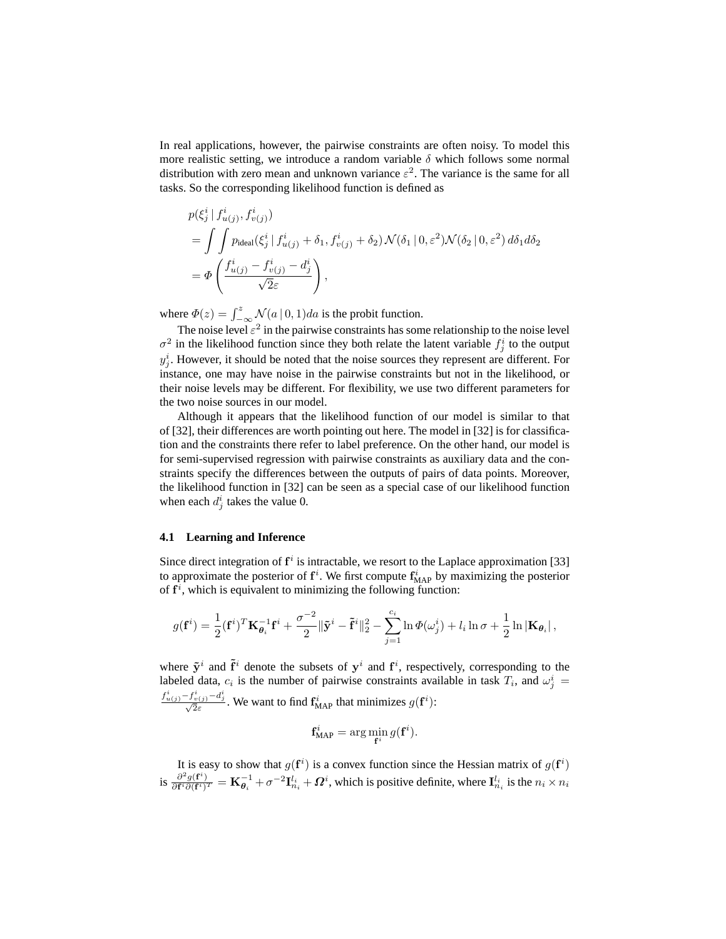In real applications, however, the pairwise constraints are often noisy. To model this more realistic setting, we introduce a random variable  $\delta$  which follows some normal distribution with zero mean and unknown variance  $\varepsilon^2$ . The variance is the same for all tasks. So the corresponding likelihood function is defined as

$$
\begin{split} &p(\xi_j^i \mid f_{u(j)}^i, f_{v(j)}^i) \\ &= \int \int p_{\text{ideal}}(\xi_j^i \mid f_{u(j)}^i + \delta_1, f_{v(j)}^i + \delta_2) \, \mathcal{N}(\delta_1 \mid 0, \varepsilon^2) \mathcal{N}(\delta_2 \mid 0, \varepsilon^2) \, d\delta_1 d\delta_2 \\ &= \varPhi \left( \frac{f_{u(j)}^i - f_{v(j)}^i - d_j^i}{\sqrt{2}\varepsilon} \right), \end{split}
$$

where  $\Phi(z) = \int_{-\infty}^{z} \mathcal{N}(a | 0, 1) da$  is the probit function.

The noise level  $\varepsilon^2$  in the pairwise constraints has some relationship to the noise level  $\sigma^2$  in the likelihood function since they both relate the latent variable  $f_j^i$  to the output  $y_j^i$ . However, it should be noted that the noise sources they represent are different. For instance, one may have noise in the pairwise constraints but not in the likelihood, or their noise levels may be different. For flexibility, we use two different parameters for the two noise sources in our model.

Although it appears that the likelihood function of our model is similar to that of [32], their differences are worth pointing out here. The model in [32] is for classification and the constraints there refer to label preference. On the other hand, our model is for semi-supervised regression with pairwise constraints as auxiliary data and the constraints specify the differences between the outputs of pairs of data points. Moreover, the likelihood function in [32] can be seen as a special case of our likelihood function when each  $d_j^i$  takes the value 0.

#### **4.1 Learning and Inference**

Since direct integration of  $f^i$  is intractable, we resort to the Laplace approximation [33] to approximate the posterior of  $f^i$ . We first compute  $f^i_{MAP}$  by maximizing the posterior of  $f^i$ , which is equivalent to minimizing the following function:

$$
g(\mathbf{f}^i) = \frac{1}{2}(\mathbf{f}^i)^T \mathbf{K}_{\theta_i}^{-1} \mathbf{f}^i + \frac{\sigma^{-2}}{2} \|\tilde{\mathbf{y}}^i - \tilde{\mathbf{f}}^i\|_2^2 - \sum_{j=1}^{c_i} \ln \Phi(\omega_j^i) + l_i \ln \sigma + \frac{1}{2} \ln |\mathbf{K}_{\theta_i}|,
$$

where  $\tilde{\mathbf{y}}^i$  and  $\tilde{\mathbf{f}}^i$  denote the subsets of  $\mathbf{y}^i$  and  $\mathbf{f}^i$ , respectively, corresponding to the labeled data,  $c_i$  is the number of pairwise constraints available in task  $T_i$ , and  $\omega_j^i$  =  $\frac{f_{u(j)}^i - f_{v(j)}^i - d_j^i}{\sqrt{2\varepsilon}}$ . We want to find  $\mathbf{f}_{MAP}^i$  that minimizes  $g(\mathbf{f}^i)$ :

$$
\mathbf{f}^i_{\text{MAP}} = \arg\min_{\mathbf{f}^i} g(\mathbf{f}^i).
$$

It is easy to show that  $g(f^i)$  is a convex function since the Hessian matrix of  $g(f^i)$ is  $\frac{\partial^2 g(\mathbf{f}^i)}{\partial \mathbf{f}^i \partial (\mathbf{f}^i)}$  $\frac{\partial^2 g(\mathbf{f}^i)}{\partial \mathbf{f}^i \partial (\mathbf{f}^i)^T} = \mathbf{K}_{\boldsymbol{\theta}_i}^{-1} + \sigma^{-2} \mathbf{I}_{n_i}^{l_i} + \boldsymbol{\Omega}^i$ , which is positive definite, where  $\mathbf{I}_{n_i}^{l_i}$  is the  $n_i \times n_i$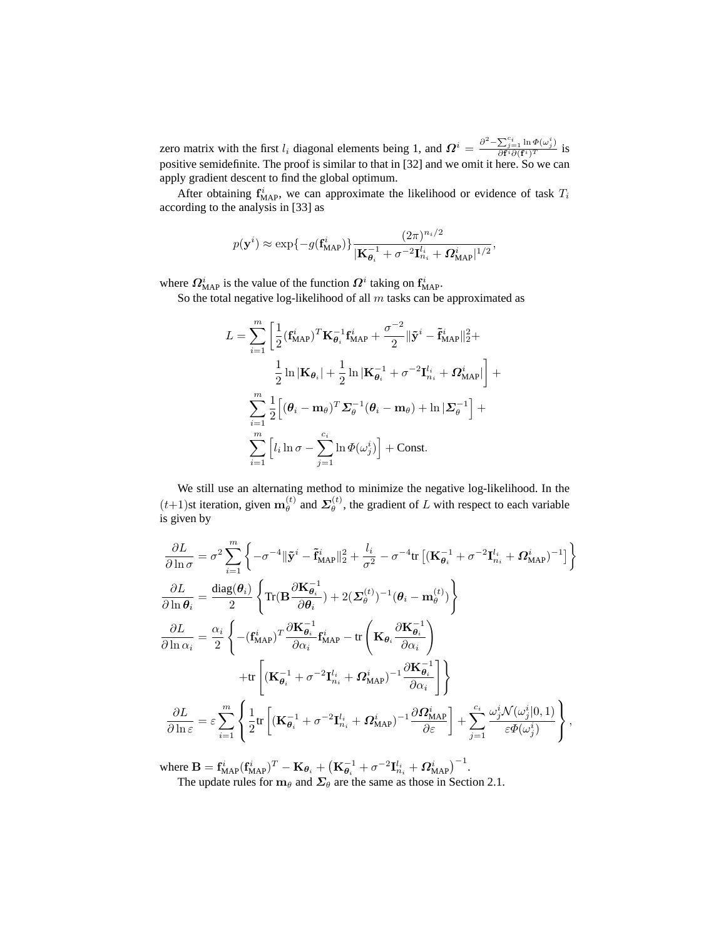zero matrix with the first  $l_i$  diagonal elements being 1, and  $\Omega^i = \frac{\partial^2 - \sum_{j=1}^{c_i} \ln \Phi(\omega_j^i)}{\partial \mathbf{f}^{i}(\mathbf{f}^{i})^T}$  $\frac{\sum_{j=1}^{\infty} \prod \Psi(\omega_j)}{\partial \mathbf{f}^i \partial (\mathbf{f}^i)^T}$  is positive semidefinite. The proof is similar to that in [32] and we omit it here. So we can apply gradient descent to find the global optimum.

After obtaining  $f_{\text{MAP}}^i$ , we can approximate the likelihood or evidence of task  $T_i$ according to the analysis in [33] as

$$
p(\mathbf{y}^i) \approx \exp\{-g(\mathbf{f}_{\text{MAP}}^i)\}\frac{(2\pi)^{n_i/2}}{|\mathbf{K}_{\boldsymbol{\theta}_i}^{-1} + \sigma^{-2}\mathbf{I}_{n_i}^{l_i} + \boldsymbol{\Omega}_{\text{MAP}}^i|^{1/2}},
$$

where  $\Omega_{\text{MAP}}^i$  is the value of the function  $\Omega^i$  taking on  $f_{\text{MAP}}^i$ .

So the total negative log-likelihood of all  $m$  tasks can be approximated as

$$
L = \sum_{i=1}^{m} \left[ \frac{1}{2} (\mathbf{f}_{\text{MAP}}^{i})^{T} \mathbf{K}_{\theta_{i}}^{-1} \mathbf{f}_{\text{MAP}}^{i} + \frac{\sigma^{-2}}{2} \|\tilde{\mathbf{y}}^{i} - \tilde{\mathbf{f}}_{\text{MAP}}^{i}\|_{2}^{2} + \right.
$$
  

$$
\frac{1}{2} \ln |\mathbf{K}_{\theta_{i}}| + \frac{1}{2} \ln |\mathbf{K}_{\theta_{i}}^{-1} + \sigma^{-2} \mathbf{I}_{n_{i}}^{l_{i}} + \Omega_{\text{MAP}}^{i}| \right] + \sum_{i=1}^{m} \frac{1}{2} \Big[ (\theta_{i} - \mathbf{m}_{\theta})^{T} \Sigma_{\theta}^{-1} (\theta_{i} - \mathbf{m}_{\theta}) + \ln |\Sigma_{\theta}^{-1} \Big] + \sum_{i=1}^{m} \Big[ l_{i} \ln \sigma - \sum_{j=1}^{c_{i}} \ln \Phi(\omega_{j}^{i}) \Big] + \text{Const.}
$$

We still use an alternating method to minimize the negative log-likelihood. In the  $(t+1)$ st iteration, given  $\mathbf{m}_{\theta}^{(t)}$  $\boldsymbol{\theta}^{(t)}$  and  $\boldsymbol{\Sigma}_{\theta}^{(t)}$  $\theta_{\theta}^{(t)}$ , the gradient of L with respect to each variable is given by

$$
\begin{split} \frac{\partial L}{\partial \ln \sigma} &= \sigma^2 \sum_{i=1}^m \left\{ -\sigma^{-4} \|\tilde{\mathbf{y}}^i - \tilde{\mathbf{f}}_{\text{MAP}}^i\|_2^2 + \frac{l_i}{\sigma^2} - \sigma^{-4} \text{tr}\left[ (\mathbf{K}_{\theta_i}^{-1} + \sigma^{-2} \mathbf{I}_{n_i}^{l_i} + \mathbf{\Omega}_{\text{MAP}}^i)^{-1}\right] \right\} \\ \frac{\partial L}{\partial \ln \theta_i} &= \frac{\text{diag}(\theta_i)}{2} \left\{ \text{Tr}(\mathbf{B} \frac{\partial \mathbf{K}_{\theta_i}^{-1}}{\partial \theta_i}) + 2(\mathbf{\Sigma}_{\theta}^{(t)})^{-1} (\theta_i - \mathbf{m}_{\theta}^{(t)}) \right\} \\ \frac{\partial L}{\partial \ln \alpha_i} &= \frac{\alpha_i}{2} \left\{ -(\mathbf{f}_{\text{MAP}}^i)^T \frac{\partial \mathbf{K}_{\theta_i}^{-1}}{\partial \alpha_i} \mathbf{f}_{\text{MAP}}^i - \text{tr}\left( \mathbf{K}_{\theta_i} \frac{\partial \mathbf{K}_{\theta_i}^{-1}}{\partial \alpha_i} \right) \right. \\ & \left. + \text{tr}\left[ (\mathbf{K}_{\theta_i}^{-1} + \sigma^{-2} \mathbf{I}_{n_i}^{l_i} + \mathbf{\Omega}_{\text{MAP}}^i)^{-1} \frac{\partial \mathbf{K}_{\theta_i}^{-1}}{\partial \alpha_i} \right] \right\} \\ \frac{\partial L}{\partial \ln \varepsilon} &= \varepsilon \sum_{i=1}^m \left\{ \frac{1}{2} \text{tr}\left[ (\mathbf{K}_{\theta_i}^{-1} + \sigma^{-2} \mathbf{I}_{n_i}^{l_i} + \mathbf{\Omega}_{\text{MAP}}^i)^{-1} \frac{\partial \mathbf{Q}_{\text{MAP}}^i}{\partial \varepsilon} \right] + \sum_{j=1}^{c_i} \frac{\omega_j^i \mathcal{N}(\omega_j^i | 0, 1)}{\varepsilon \Phi(\omega_j^i)} \right\}, \end{split}
$$

where  $\mathbf{B} = \mathbf{f}_{\text{MAP}}^i(\mathbf{f}_{\text{MAP}}^i)^T - \mathbf{K}_{\boldsymbol{\theta}_i} + \left(\mathbf{K}_{\boldsymbol{\theta}_i}^{-1} + \sigma^{-2}\mathbf{I}_{n_i}^{l_i} + \boldsymbol{\varOmega}_{\text{MAP}}^i\right)^{-1}.$ 

The update rules for  $m_\theta$  and  $\Sigma_\theta$  are the same as those in Section 2.1.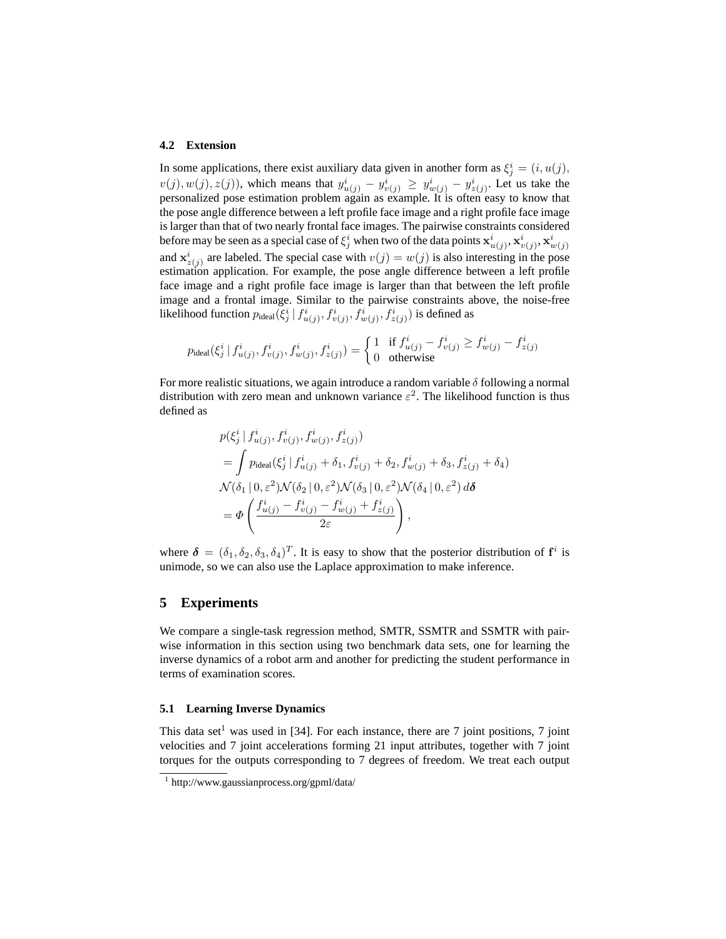### **4.2 Extension**

In some applications, there exist auxiliary data given in another form as  $\xi_j^i = (i, u(j))$ ,  $v(j), w(j), z(j)$ , which means that  $y_{u(j)}^i - y_{v(j)}^i \ge y_{w(j)}^i - y_{z(j)}^i$ . Let us take the personalized pose estimation problem again as example. It is often easy to know that the pose angle difference between a left profile face image and a right profile face image is larger than that of two nearly frontal face images. The pairwise constraints considered before may be seen as a special case of  $\xi^i_j$  when two of the data points  $\mathbf{x}_{u(j)}^i, \mathbf{x}_{v(j)}^i, \mathbf{x}_{w(j)}^i$ and  $\mathbf{x}_{z(j)}^i$  are labeled. The special case with  $v(j) = w(j)$  is also interesting in the pose estimation application. For example, the pose angle difference between a left profile face image and a right profile face image is larger than that between the left profile image and a frontal image. Similar to the pairwise constraints above, the noise-free likelihood function  $p_{ideal}(\xi_j^i | f_{u(j)}^i, f_{v(j)}^i, f_{w(j)}^i, f_{z(j)}^i)$  is defined as

$$
p_{\text{ideal}}(\xi^i_j \mid f^i_{u(j)}, f^i_{v(j)}, f^i_{w(j)}, f^i_{z(j)}) = \begin{cases} 1 & \text{if } f^i_{u(j)} - f^i_{v(j)} \ge f^i_{w(j)} - f^i_{z(j)} \\ 0 & \text{otherwise} \end{cases}
$$

For more realistic situations, we again introduce a random variable  $\delta$  following a normal distribution with zero mean and unknown variance  $\varepsilon^2$ . The likelihood function is thus defined as

$$
p(\xi_j^i | f_{u(j)}^i, f_{v(j)}^i, f_{w(j)}^i, f_{z(j)}^i)
$$
  
= 
$$
\int p_{\text{ideal}}(\xi_j^i | f_{u(j)}^i + \delta_1, f_{v(j)}^i + \delta_2, f_{w(j)}^i + \delta_3, f_{z(j)}^i + \delta_4)
$$
  

$$
\mathcal{N}(\delta_1 | 0, \varepsilon^2) \mathcal{N}(\delta_2 | 0, \varepsilon^2) \mathcal{N}(\delta_3 | 0, \varepsilon^2) \mathcal{N}(\delta_4 | 0, \varepsilon^2) d\delta
$$
  
= 
$$
\Phi \left( \frac{f_{u(j)}^i - f_{v(j)}^i - f_{w(j)}^i + f_{z(j)}^i}{2\varepsilon} \right),
$$

where  $\boldsymbol{\delta} = (\delta_1, \delta_2, \delta_3, \delta_4)^T$ . It is easy to show that the posterior distribution of  $f^i$  is unimode, so we can also use the Laplace approximation to make inference.

## **5 Experiments**

We compare a single-task regression method, SMTR, SSMTR and SSMTR with pairwise information in this section using two benchmark data sets, one for learning the inverse dynamics of a robot arm and another for predicting the student performance in terms of examination scores.

### **5.1 Learning Inverse Dynamics**

This data set<sup>1</sup> was used in [34]. For each instance, there are 7 joint positions, 7 joint velocities and 7 joint accelerations forming 21 input attributes, together with 7 joint torques for the outputs corresponding to 7 degrees of freedom. We treat each output

<sup>1</sup> http://www.gaussianprocess.org/gpml/data/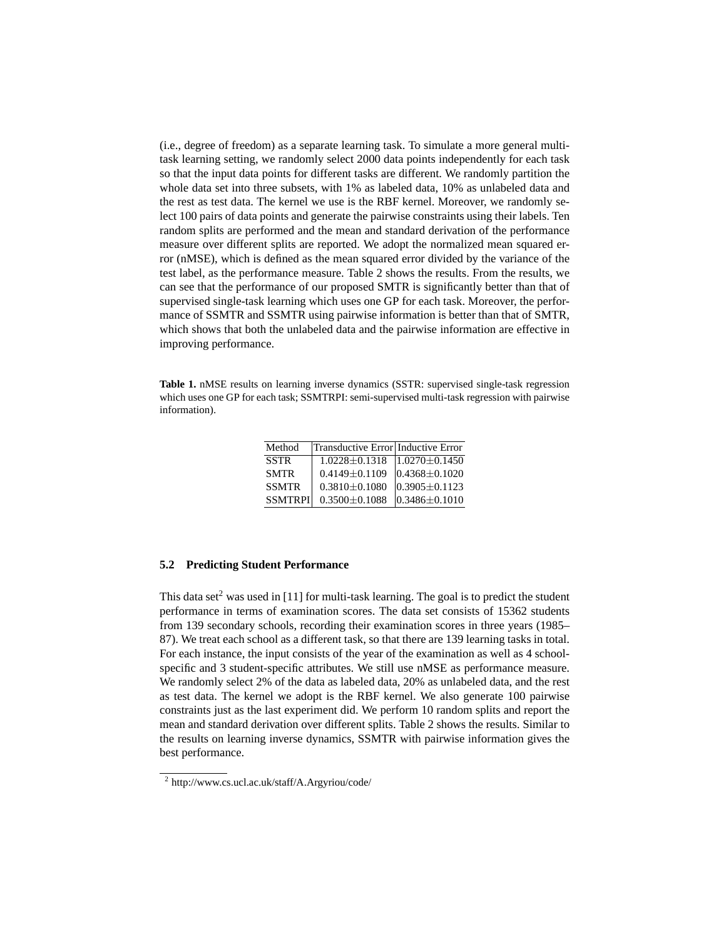(i.e., degree of freedom) as a separate learning task. To simulate a more general multitask learning setting, we randomly select 2000 data points independently for each task so that the input data points for different tasks are different. We randomly partition the whole data set into three subsets, with 1% as labeled data, 10% as unlabeled data and the rest as test data. The kernel we use is the RBF kernel. Moreover, we randomly select 100 pairs of data points and generate the pairwise constraints using their labels. Ten random splits are performed and the mean and standard derivation of the performance measure over different splits are reported. We adopt the normalized mean squared error (nMSE), which is defined as the mean squared error divided by the variance of the test label, as the performance measure. Table 2 shows the results. From the results, we can see that the performance of our proposed SMTR is significantly better than that of supervised single-task learning which uses one GP for each task. Moreover, the performance of SSMTR and SSMTR using pairwise information is better than that of SMTR, which shows that both the unlabeled data and the pairwise information are effective in improving performance.

**Table 1.** nMSE results on learning inverse dynamics (SSTR: supervised single-task regression which uses one GP for each task; SSMTRPI: semi-supervised multi-task regression with pairwise information).

| Method         | Transductive Error Inductive Error |                      |
|----------------|------------------------------------|----------------------|
| <b>SSTR</b>    | $1.0228 + 0.1318$                  | $1.0270 \pm 0.1450$  |
| <b>SMTR</b>    | $0.4149 \pm 0.1109$                | $0.4368 \pm 0.1020$  |
| <b>SSMTR</b>   | $0.3810 \pm 0.1080$                | $0.3905 \pm 0.1123$  |
| <b>SSMTRPI</b> | $0.3500 \pm 0.1088$                | $ 0.3486 \pm 0.1010$ |

### **5.2 Predicting Student Performance**

This data set<sup>2</sup> was used in [11] for multi-task learning. The goal is to predict the student performance in terms of examination scores. The data set consists of 15362 students from 139 secondary schools, recording their examination scores in three years (1985– 87). We treat each school as a different task, so that there are 139 learning tasks in total. For each instance, the input consists of the year of the examination as well as 4 schoolspecific and 3 student-specific attributes. We still use nMSE as performance measure. We randomly select 2% of the data as labeled data, 20% as unlabeled data, and the rest as test data. The kernel we adopt is the RBF kernel. We also generate 100 pairwise constraints just as the last experiment did. We perform 10 random splits and report the mean and standard derivation over different splits. Table 2 shows the results. Similar to the results on learning inverse dynamics, SSMTR with pairwise information gives the best performance.

<sup>2</sup> http://www.cs.ucl.ac.uk/staff/A.Argyriou/code/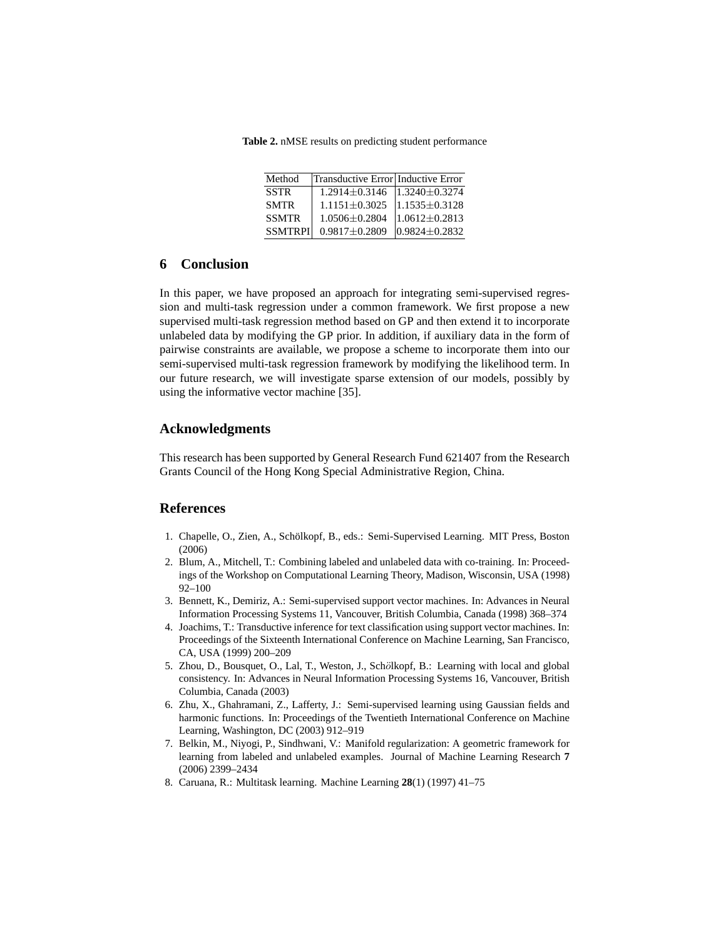**Table 2.** nMSE results on predicting student performance

| Method         | Transductive Error Inductive Error |                     |
|----------------|------------------------------------|---------------------|
| <b>SSTR</b>    | $1.2914 \pm 0.3146$                | $1.3240 \pm 0.3274$ |
| <b>SMTR</b>    | $1.1151 \pm 0.3025$                | $1.1535 \pm 0.3128$ |
| <b>SSMTR</b>   | $1.0506 \pm 0.2804$                | $1.0612 \pm 0.2813$ |
| <b>SSMTRPI</b> | $0.9817 \pm 0.2809$                | $0.9824 \pm 0.2832$ |

## **6 Conclusion**

In this paper, we have proposed an approach for integrating semi-supervised regression and multi-task regression under a common framework. We first propose a new supervised multi-task regression method based on GP and then extend it to incorporate unlabeled data by modifying the GP prior. In addition, if auxiliary data in the form of pairwise constraints are available, we propose a scheme to incorporate them into our semi-supervised multi-task regression framework by modifying the likelihood term. In our future research, we will investigate sparse extension of our models, possibly by using the informative vector machine [35].

## **Acknowledgments**

This research has been supported by General Research Fund 621407 from the Research Grants Council of the Hong Kong Special Administrative Region, China.

# **References**

- 1. Chapelle, O., Zien, A., Schölkopf, B., eds.: Semi-Supervised Learning. MIT Press, Boston (2006)
- 2. Blum, A., Mitchell, T.: Combining labeled and unlabeled data with co-training. In: Proceedings of the Workshop on Computational Learning Theory, Madison, Wisconsin, USA (1998) 92–100
- 3. Bennett, K., Demiriz, A.: Semi-supervised support vector machines. In: Advances in Neural Information Processing Systems 11, Vancouver, British Columbia, Canada (1998) 368–374
- 4. Joachims, T.: Transductive inference for text classification using support vector machines. In: Proceedings of the Sixteenth International Conference on Machine Learning, San Francisco, CA, USA (1999) 200–209
- 5. Zhou, D., Bousquet, O., Lal, T., Weston, J., Schölkopf, B.: Learning with local and global consistency. In: Advances in Neural Information Processing Systems 16, Vancouver, British Columbia, Canada (2003)
- 6. Zhu, X., Ghahramani, Z., Lafferty, J.: Semi-supervised learning using Gaussian fields and harmonic functions. In: Proceedings of the Twentieth International Conference on Machine Learning, Washington, DC (2003) 912–919
- 7. Belkin, M., Niyogi, P., Sindhwani, V.: Manifold regularization: A geometric framework for learning from labeled and unlabeled examples. Journal of Machine Learning Research **7** (2006) 2399–2434
- 8. Caruana, R.: Multitask learning. Machine Learning **28**(1) (1997) 41–75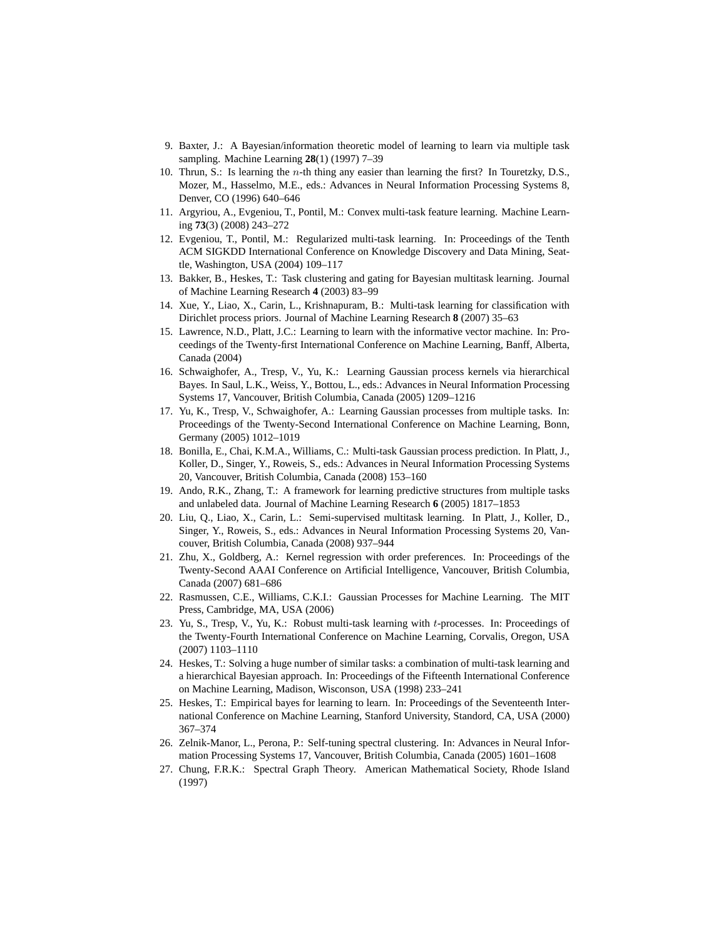- 9. Baxter, J.: A Bayesian/information theoretic model of learning to learn via multiple task sampling. Machine Learning **28**(1) (1997) 7–39
- 10. Thrun, S.: Is learning the n-th thing any easier than learning the first? In Touretzky, D.S., Mozer, M., Hasselmo, M.E., eds.: Advances in Neural Information Processing Systems 8, Denver, CO (1996) 640–646
- 11. Argyriou, A., Evgeniou, T., Pontil, M.: Convex multi-task feature learning. Machine Learning **73**(3) (2008) 243–272
- 12. Evgeniou, T., Pontil, M.: Regularized multi-task learning. In: Proceedings of the Tenth ACM SIGKDD International Conference on Knowledge Discovery and Data Mining, Seattle, Washington, USA (2004) 109–117
- 13. Bakker, B., Heskes, T.: Task clustering and gating for Bayesian multitask learning. Journal of Machine Learning Research **4** (2003) 83–99
- 14. Xue, Y., Liao, X., Carin, L., Krishnapuram, B.: Multi-task learning for classification with Dirichlet process priors. Journal of Machine Learning Research **8** (2007) 35–63
- 15. Lawrence, N.D., Platt, J.C.: Learning to learn with the informative vector machine. In: Proceedings of the Twenty-first International Conference on Machine Learning, Banff, Alberta, Canada (2004)
- 16. Schwaighofer, A., Tresp, V., Yu, K.: Learning Gaussian process kernels via hierarchical Bayes. In Saul, L.K., Weiss, Y., Bottou, L., eds.: Advances in Neural Information Processing Systems 17, Vancouver, British Columbia, Canada (2005) 1209–1216
- 17. Yu, K., Tresp, V., Schwaighofer, A.: Learning Gaussian processes from multiple tasks. In: Proceedings of the Twenty-Second International Conference on Machine Learning, Bonn, Germany (2005) 1012–1019
- 18. Bonilla, E., Chai, K.M.A., Williams, C.: Multi-task Gaussian process prediction. In Platt, J., Koller, D., Singer, Y., Roweis, S., eds.: Advances in Neural Information Processing Systems 20, Vancouver, British Columbia, Canada (2008) 153–160
- 19. Ando, R.K., Zhang, T.: A framework for learning predictive structures from multiple tasks and unlabeled data. Journal of Machine Learning Research **6** (2005) 1817–1853
- 20. Liu, Q., Liao, X., Carin, L.: Semi-supervised multitask learning. In Platt, J., Koller, D., Singer, Y., Roweis, S., eds.: Advances in Neural Information Processing Systems 20, Vancouver, British Columbia, Canada (2008) 937–944
- 21. Zhu, X., Goldberg, A.: Kernel regression with order preferences. In: Proceedings of the Twenty-Second AAAI Conference on Artificial Intelligence, Vancouver, British Columbia, Canada (2007) 681–686
- 22. Rasmussen, C.E., Williams, C.K.I.: Gaussian Processes for Machine Learning. The MIT Press, Cambridge, MA, USA (2006)
- 23. Yu, S., Tresp, V., Yu, K.: Robust multi-task learning with t-processes. In: Proceedings of the Twenty-Fourth International Conference on Machine Learning, Corvalis, Oregon, USA (2007) 1103–1110
- 24. Heskes, T.: Solving a huge number of similar tasks: a combination of multi-task learning and a hierarchical Bayesian approach. In: Proceedings of the Fifteenth International Conference on Machine Learning, Madison, Wisconson, USA (1998) 233–241
- 25. Heskes, T.: Empirical bayes for learning to learn. In: Proceedings of the Seventeenth International Conference on Machine Learning, Stanford University, Standord, CA, USA (2000) 367–374
- 26. Zelnik-Manor, L., Perona, P.: Self-tuning spectral clustering. In: Advances in Neural Information Processing Systems 17, Vancouver, British Columbia, Canada (2005) 1601–1608
- 27. Chung, F.R.K.: Spectral Graph Theory. American Mathematical Society, Rhode Island (1997)